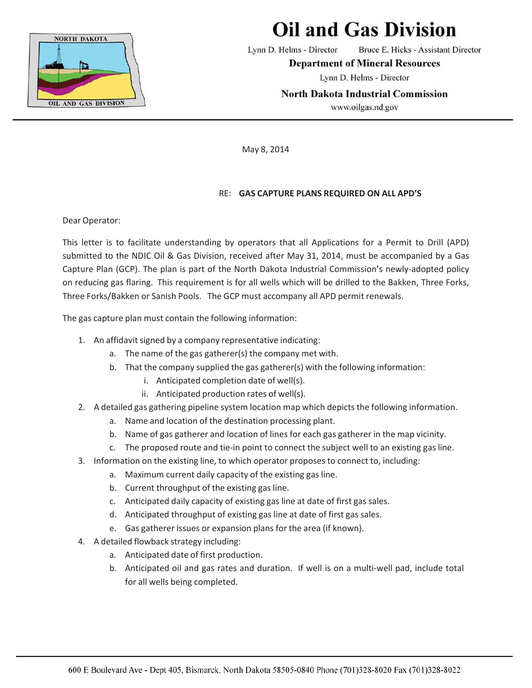

## **Oil and Gas Division**

Lynn D. Helms - Director Bruce E. Hicks - Assistant Director

**Department of Mineral Resources** 

Lynn D. Helms - Director

**North Dakota Industrial Commission** 

www.oilgas.nd.gov

May 8, 2014

## RE: **GAS CAPTURE PLANS REQUIRED ON ALL APD'S**

Dear Operator:

This letter is to facilitate understanding by operators that all Applications for a Permit to Drill (APD) submitted to the NDIC Oil & Gas Division, received after May 31, 2014, must be accompanied by a Gas Capture Plan (GCP). The plan is part of the North Dakota Industrial Commission's newly‐adopted policy on reducing gas flaring. This requirement is for all wells which will be drilled to the Bakken, Three Forks, Three Forks/Bakken or Sanish Pools. The GCP must accompany all APD permit renewals.

The gas capture plan must contain the following information:

- 1. An affidavit signed by a company representative indicating:
	- a. The name of the gas gatherer(s) the company met with.
	- b. That the company supplied the gas gatherer(s) with the following information:
		- i. Anticipated completion date of well(s).
		- ii. Anticipated production rates of well(s).
- 2. A detailed gas gathering pipeline system location map which depicts the following information.
	- a. Name and location of the destination processing plant.
	- b. Name of gas gatherer and location of lines for each gas gatherer in the map vicinity.
	- c. The proposed route and tie‐in point to connect the subject well to an existing gas line.
- 3. Information on the existing line, to which operator proposes to connect to, including:
	- a. Maximum current daily capacity of the existing gas line.
	- b. Current throughput of the existing gas line.
	- c. Anticipated daily capacity of existing gas line at date of first gas sales.
	- d. Anticipated throughput of existing gas line at date of first gas sales.
	- e. Gas gatherer issues or expansion plans for the area (if known).
- 4. A detailed flowback strategy including:
	- a. Anticipated date of first production.
	- b. Anticipated oil and gas rates and duration. If well is on a multi-well pad, include total for all wells being completed.